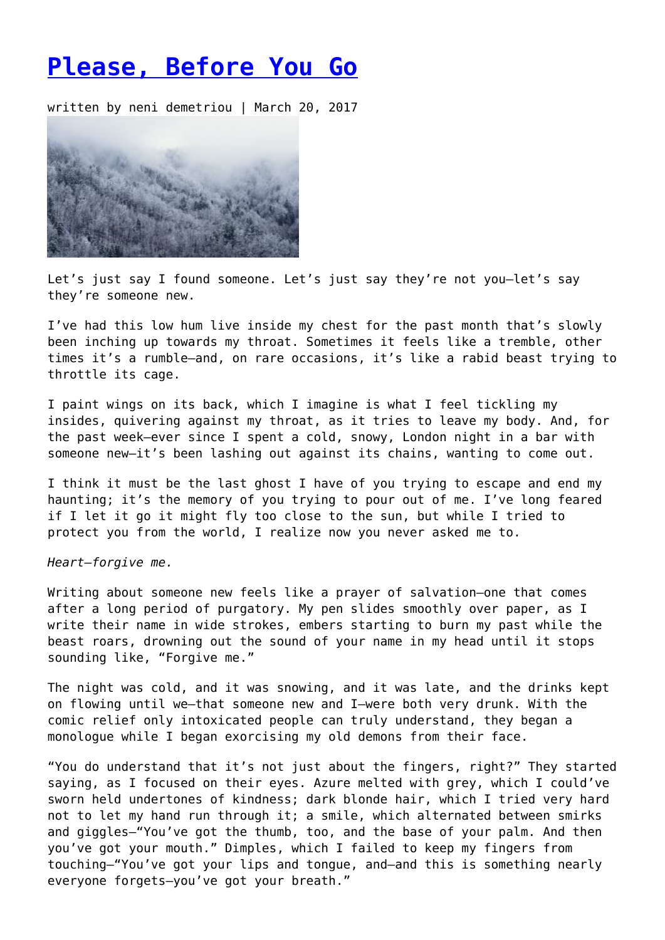## **[Please, Before You Go](https://entropymag.org/please-before-you-go/)**

written by neni demetriou | March 20, 2017



Let's just say I found someone. Let's just say they're not you—let's say they're someone new.

I've had this low hum live inside my chest for the past month that's slowly been inching up towards my throat. Sometimes it feels like a tremble, other times it's a rumble—and, on rare occasions, it's like a rabid beast trying to throttle its cage.

I paint wings on its back, which I imagine is what I feel tickling my insides, quivering against my throat, as it tries to leave my body. And, for the past week—ever since I spent a cold, snowy, London night in a bar with someone new—it's been lashing out against its chains, wanting to come out.

I think it must be the last ghost I have of you trying to escape and end my haunting; it's the memory of you trying to pour out of me. I've long feared if I let it go it might fly too close to the sun, but while I tried to protect you from the world, I realize now you never asked me to.

*Heart—forgive me.*

Writing about someone new feels like a prayer of salvation—one that comes after a long period of purgatory. My pen slides smoothly over paper, as I write their name in wide strokes, embers starting to burn my past while the beast roars, drowning out the sound of your name in my head until it stops sounding like, "Forgive me."

The night was cold, and it was snowing, and it was late, and the drinks kept on flowing until we—that someone new and I—were both very drunk. With the comic relief only intoxicated people can truly understand, they began a monologue while I began exorcising my old demons from their face.

"You do understand that it's not just about the fingers, right?" They started saying, as I focused on their eyes. Azure melted with grey, which I could've sworn held undertones of kindness; dark blonde hair, which I tried very hard not to let my hand run through it; a smile, which alternated between smirks and giggles—"You've got the thumb, too, and the base of your palm. And then you've got your mouth." Dimples, which I failed to keep my fingers from touching—"You've got your lips and tongue, and—and this is something nearly everyone forgets—you've got your breath."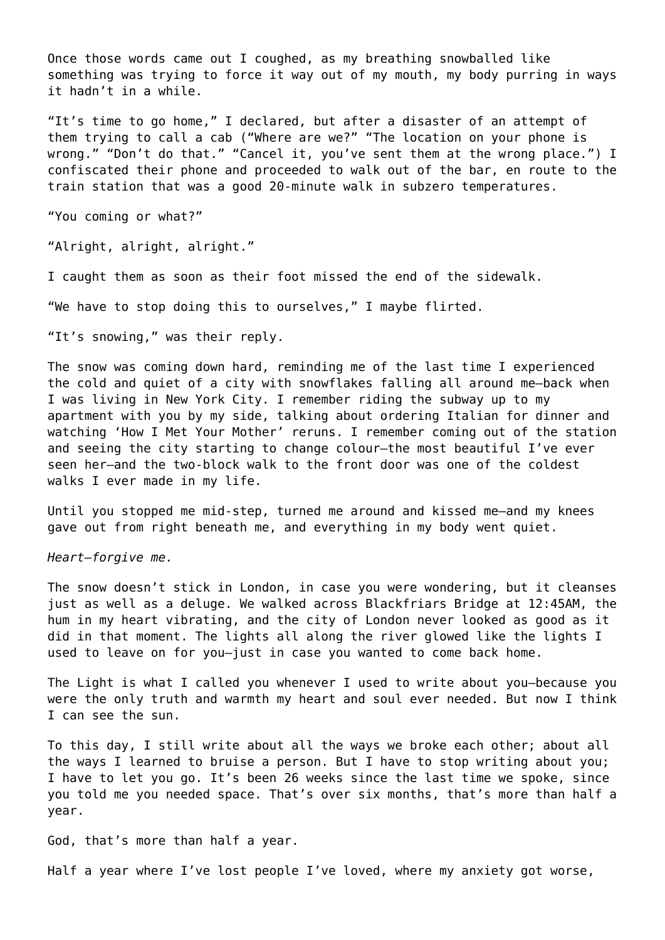Once those words came out I coughed, as my breathing snowballed like something was trying to force it way out of my mouth, my body purring in ways it hadn't in a while.

"It's time to go home," I declared, but after a disaster of an attempt of them trying to call a cab ("Where are we?" "The location on your phone is wrong." "Don't do that." "Cancel it, you've sent them at the wrong place.") I confiscated their phone and proceeded to walk out of the bar, en route to the train station that was a good 20-minute walk in subzero temperatures.

"You coming or what?"

"Alright, alright, alright."

I caught them as soon as their foot missed the end of the sidewalk.

"We have to stop doing this to ourselves," I maybe flirted.

"It's snowing," was their reply.

The snow was coming down hard, reminding me of the last time I experienced the cold and quiet of a city with snowflakes falling all around me—back when I was living in New York City. I remember riding the subway up to my apartment with you by my side, talking about ordering Italian for dinner and watching 'How I Met Your Mother' reruns. I remember coming out of the station and seeing the city starting to change colour—the most beautiful I've ever seen her—and the two-block walk to the front door was one of the coldest walks I ever made in my life.

Until you stopped me mid-step, turned me around and kissed me—and my knees gave out from right beneath me, and everything in my body went quiet.

*Heart—forgive me.*

The snow doesn't stick in London, in case you were wondering, but it cleanses just as well as a deluge. We walked across Blackfriars Bridge at 12:45AM, the hum in my heart vibrating, and the city of London never looked as good as it did in that moment. The lights all along the river glowed like the lights I used to leave on for you—just in case you wanted to come back home.

The Light is what I called you whenever I used to write about you—because you were the only truth and warmth my heart and soul ever needed. But now I think I can see the sun.

To this day, I still write about all the ways we broke each other; about all the ways I learned to bruise a person. But I have to stop writing about you; I have to let you go. It's been 26 weeks since the last time we spoke, since you told me you needed space. That's over six months, that's more than half a year.

God, that's more than half a year.

Half a year where I've lost people I've loved, where my anxiety got worse,